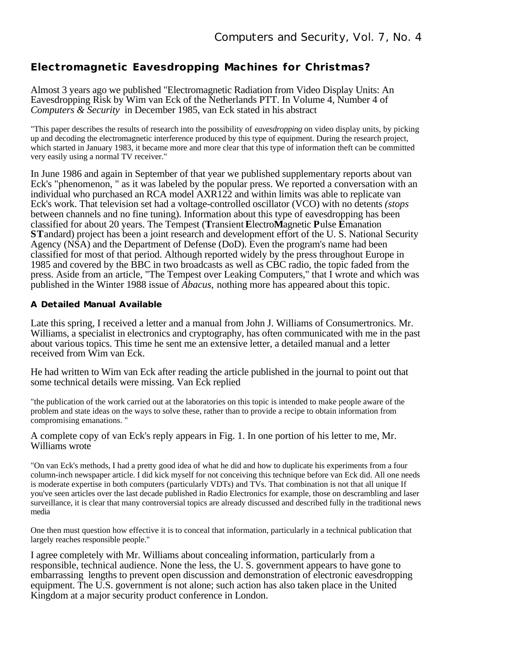## **Electromagnetic Eavesdropping Machines for Christmas?**

Almost 3 years ago we published "Electromagnetic Radiation from Video Display Units: An Eavesdropping Risk by Wim van Eck of the Netherlands PTT. In Volume 4, Number 4 of *Computers & Security* in December 1985, van Eck stated in his abstract

"This paper describes the results of research into the possibility of *eavesdropping* on video display units, by picking up and decoding the electromagnetic interference produced by this type of equipment. During the research project, which started in January 1983, it became more and more clear that this type of information theft can be committed very easily using a normal TV receiver."

In June 1986 and again in September of that year we published supplementary reports about van Eck's "phenomenon, " as it was labeled by the popular press. We reported a conversation with an individual who purchased an RCA model AXR122 and within limits was able to replicate van Eck's work. That television set had a voltage-controlled oscillator (VCO) with no detents *(stops* between channels and no fine tuning). Information about this type of eavesdropping has been classified for about 20 years. The Tempest (**T**ransient **E**lectro**M**agnetic **P**ulse **E**manation **ST**andard) project has been a joint research and development effort of the U. S. National Security Agency (NSA) and the Department of Defense (DoD). Even the program's name had been classified for most of that period. Although reported widely by the press throughout Europe in 1985 and covered by the BBC in two broadcasts as well as CBC radio, the topic faded from the press. Aside from an article, "The Tempest over Leaking Computers," that I wrote and which was published in the Winter 1988 issue of *Abacus,* nothing more has appeared about this topic.

## **A Detailed Manual Available**

Late this spring, I received a letter and a manual from John J. Williams of Consumertronics. Mr. Williams, a specialist in electronics and cryptography, has often communicated with me in the past about various topics. This time he sent me an extensive letter, a detailed manual and a letter received from Wim van Eck.

He had written to Wim van Eck after reading the article published in the journal to point out that some technical details were missing. Van Eck replied

"the publication of the work carried out at the laboratories on this topic is intended to make people aware of the problem and state ideas on the ways to solve these, rather than to provide a recipe to obtain information from compromising emanations. "

A complete copy of van Eck's reply appears in Fig. 1. In one portion of his letter to me, Mr. Williams wrote

"On van Eck's methods, I had a pretty good idea of what he did and how to duplicate his experiments from a four column-inch newspaper article. I did kick myself for not conceiving this technique before van Eck did. All one needs is moderate expertise in both computers (particularly VDTs) and TVs. That combination is not that all unique If you've seen articles over the last decade published in Radio Electronics for example, those on descrambling and laser surveillance, it is clear that many controversial topics are already discussed and described fully in the traditional news media

One then must question how effective it is to conceal that information, particularly in a technical publication that largely reaches responsible people."

I agree completely with Mr. Williams about concealing information, particularly from a responsible, technical audience. None the less, the U. S. government appears to have gone to embarrassing lengths to prevent open discussion and demonstration of electronic eavesdropping equipment. The U.S. government is not alone; such action has also taken place in the United Kingdom at a major security product conference in London.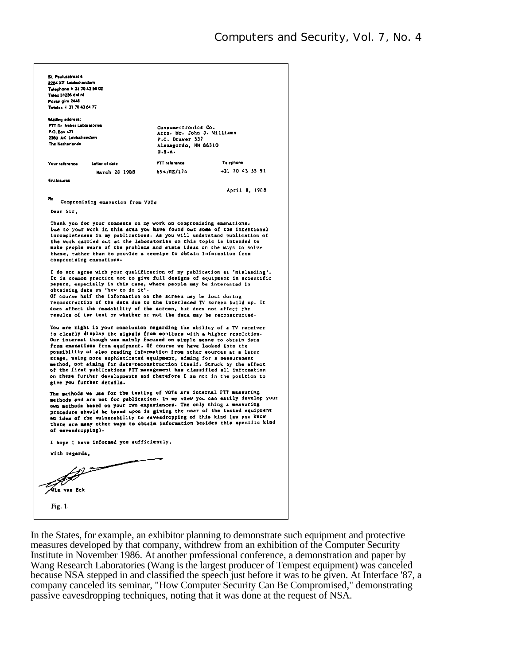| St. Paulusstrant 4                                                                                                                                     |                                               |                 |
|--------------------------------------------------------------------------------------------------------------------------------------------------------|-----------------------------------------------|-----------------|
| 2264 XZ Leidschendern                                                                                                                                  |                                               |                 |
| Telephone + 31 70 43 56 02<br>Telex 31236 and nl                                                                                                       |                                               |                 |
| Postal giro 2445                                                                                                                                       |                                               |                 |
| Telefax + 31 70 43 64 77                                                                                                                               |                                               |                 |
|                                                                                                                                                        |                                               |                 |
| Mailing address:                                                                                                                                       |                                               |                 |
| <b>PTT Dr. Neher Laboratories</b><br>P.O. Box 421                                                                                                      | Consumertronics Co.                           |                 |
| 2260 AK Leidschendam                                                                                                                                   | Attn. Mr. John J. Williams<br>P.O. Drawer 537 |                 |
| The Natherlands                                                                                                                                        | Alamagordo, NN 88310                          |                 |
|                                                                                                                                                        | $U - S - A -$                                 |                 |
|                                                                                                                                                        |                                               |                 |
| Your raference<br>Letter of date                                                                                                                       | PTT reference                                 | Telephone       |
| March 28 1988                                                                                                                                          | 694/RE/174                                    | +31 70 43 55 91 |
| Enclosures                                                                                                                                             |                                               |                 |
|                                                                                                                                                        |                                               | April 8, 1988   |
|                                                                                                                                                        |                                               |                 |
| R٥<br>Compromising emanation from VDTs                                                                                                                 |                                               |                 |
| Dear Sir,                                                                                                                                              |                                               |                 |
|                                                                                                                                                        |                                               |                 |
| Thank you for your comments on my work on compromising emanations.                                                                                     |                                               |                 |
| Due to your work in this area you have found out some of the intentional<br>incompleteness in my publications. As you will understand publication of   |                                               |                 |
| the work carried out at the laboratories on this topic is intended to                                                                                  |                                               |                 |
| make people aware of the problems and state ideas on the ways to solve                                                                                 |                                               |                 |
| these, rather than to provide a receipe to obtain information from                                                                                     |                                               |                 |
| compromising emanations.                                                                                                                               |                                               |                 |
|                                                                                                                                                        |                                               |                 |
| I do not agree with your qualification of my publication as 'misleading'.<br>It is common practice not to give full designs of equipment in scientific |                                               |                 |
| papers, especially in this case, where people may be interested in                                                                                     |                                               |                 |
| obtaining data on 'how to do it'.                                                                                                                      |                                               |                 |
| Of course half the information on the acreen may be lost during                                                                                        |                                               |                 |
| reconstruction of the data due to the interlaced TV screen build up. It                                                                                |                                               |                 |
| does affect the readability of the acreen, but does not affect the<br>results of the test on whether or not the data may be reconstructed.             |                                               |                 |
|                                                                                                                                                        |                                               |                 |
| You are right in your conclusion regarding the ability of a TV receiver                                                                                |                                               |                 |
| to clearly display the signals from monitors with a higher resolution.                                                                                 |                                               |                 |
| Our interest though was mainly focused on simple means to obtain data                                                                                  |                                               |                 |
| from emanations from equipment. Of course we have looked into the                                                                                      |                                               |                 |
| possibility of also reading information from other sources at a later<br>stage, using more sophisticated equipment, aiming for a measurement           |                                               |                 |
| method, not aiming for data-reconstruction itself. Struck by the effect                                                                                |                                               |                 |
| of the first publications PTT management has classified all information                                                                                |                                               |                 |
| on these further developments and therefore I am not in the position to                                                                                |                                               |                 |
| give you further decails.                                                                                                                              |                                               |                 |
| The methods we use for the testing of VDTs are internal PTT measuring                                                                                  |                                               |                 |
| methods and are not for publication. In my view you can easily develop your                                                                            |                                               |                 |
| own methods based on your own experiences. The only thing a measuring                                                                                  |                                               |                 |
| procedure should be based upon is giving the user of the tested equipment                                                                              |                                               |                 |
| an idea of the vulnerability to eavesdropping of this kind (as you know<br>there are many other ways to obtain information besides this specific kind  |                                               |                 |
| of eavesdropping).                                                                                                                                     |                                               |                 |
|                                                                                                                                                        |                                               |                 |
| I hope I have informed you sufficiently,                                                                                                               |                                               |                 |
|                                                                                                                                                        |                                               |                 |
| With regards,                                                                                                                                          |                                               |                 |
|                                                                                                                                                        |                                               |                 |
|                                                                                                                                                        |                                               |                 |
|                                                                                                                                                        |                                               |                 |
| Tim van Eck                                                                                                                                            |                                               |                 |
|                                                                                                                                                        |                                               |                 |
| Fig. 1.                                                                                                                                                |                                               |                 |
|                                                                                                                                                        |                                               |                 |
|                                                                                                                                                        |                                               |                 |

In the States, for example, an exhibitor planning to demonstrate such equipment and protective measures developed by that company, withdrew from an exhibition of the Computer Security Institute in November 1986. At another professional conference, a demonstration and paper by Wang Research Laboratories (Wang is the largest producer of Tempest equipment) was canceled because NSA stepped in and classified the speech just before it was to be given. At Interface '87, a company canceled its seminar, "How Computer Security Can Be Compromised," demonstrating passive eavesdropping techniques, noting that it was done at the request of NSA.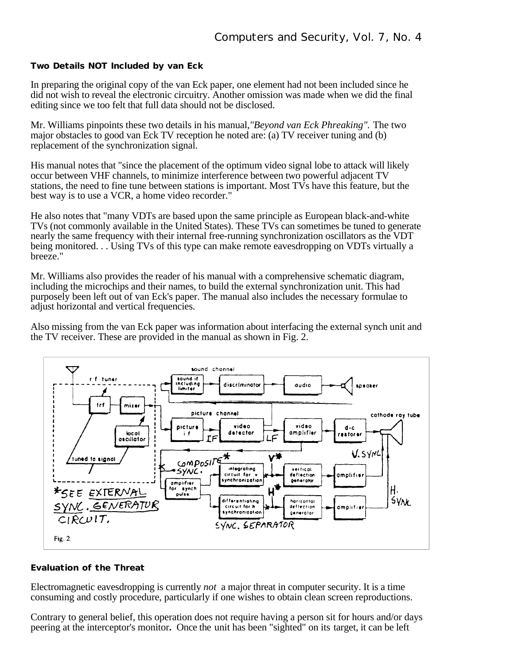**Two Details NOT Included by van Eck**

In preparing the original copy of the van Eck paper, one element had not been included since he did not wish to reveal the electronic circuitry. Another omission was made when we did the final editing since we too felt that full data should not be disclosed.

Mr. Williams pinpoints these two details in his manual,*"Beyond van Eck Phreaking".* The two major obstacles to good van Eck TV reception he noted are: (a) TV receiver tuning and (b) replacement of the synchronization signal.

His manual notes that "since the placement of the optimum video signal lobe to attack will likely occur between VHF channels, to minimize interference between two powerful adjacent TV stations, the need to fine tune between stations is important. Most  $\overline{\text{IV}}s$  have this feature, but the best way is to use a VCR, a home video recorder."

He also notes that "many VDTs are based upon the same principle as European black-and-white TVs (not commonly available in the United States). These TVs can sometimes be tuned to generate nearly the same frequency with their internal free-running synchronization oscillators as the VDT being monitored. . . Using TVs of this type can make remote eavesdropping on VDTs virtually a breeze."

Mr. Williams also provides the reader of his manual with a comprehensive schematic diagram, including the microchips and their names, to build the external synchronization unit. This had purposely been left out of van Eck's paper. The manual also includes the necessary formulae to adjust horizontal and vertical frequencies.

Also missing from the van Eck paper was information about interfacing the external synch unit and the TV receiver. These are provided in the manual as shown in Fig. 2.



## **Evaluation of the Threat**

Electromagnetic eavesdropping is currently *not* a major threat in computer security. It is a time consuming and costly procedure, particularly if one wishes to obtain clean screen reproductions.

Contrary to general belief, this operation does not require having a person sit for hours and/or days peering at the interceptor's monitor**.** Once the unit has been "sighted" on its target, it can be left